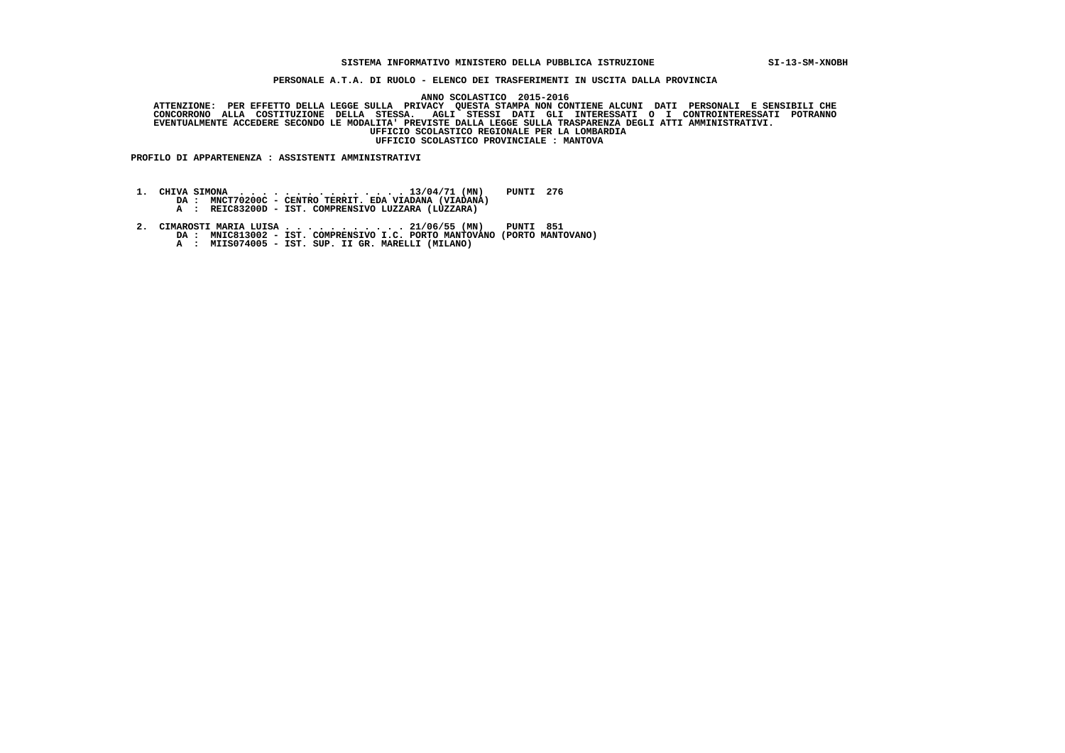## **SISTEMA INFORMATIVO MINISTERO DELLA PUBBLICA ISTRUZIONE SI-13-SM-XNOBH**

 **PERSONALE A.T.A. DI RUOLO - ELENCO DEI TRASFERIMENTI IN USCITA DALLA PROVINCIA**

 **ANNO SCOLASTICO 2015-2016**

ATTENZIONE: PER EFFETTO DELLA LEGGE SULLA PRIVACY QUESTA STAMPA NON CONTIENE ALCUNI DATI PERSONALI E SENSIBILI<br>CONCORRONO ALLA COSTITUZIONE DELLA STESSA. AGLI STESSI DATI GLI INTERESSATI O I CONTROINTERESSATI POTRANNO  **EVENTUALMENTE ACCEDERE SECONDO LE MODALITA' PREVISTE DALLA LEGGE SULLA TRASPARENZA DEGLI ATTI AMMINISTRATIVI. UFFICIO SCOLASTICO REGIONALE PER LA LOMBARDIA UFFICIO SCOLASTICO PROVINCIALE : MANTOVA**

 **PROFILO DI APPARTENENZA : ASSISTENTI AMMINISTRATIVI**

 **1. CHIVA SIMONA . . . . . . . . . . . . . . . 13/04/71 (MN) PUNTI 276 DA : MNCT70200C - CENTRO TERRIT. EDA VIADANA (VIADANA)**

 **A : REIC83200D - IST. COMPRENSIVO LUZZARA (LUZZARA)**

 **2. CIMAROSTI MARIA LUISA . . . . . . . . . . . 21/06/55 (MN) PUNTI 851 DA : MNIC813002 - IST. COMPRENSIVO I.C. PORTO MANTOVANO (PORTO MANTOVANO)**

 **A : MIIS074005 - IST. SUP. II GR. MARELLI (MILANO)**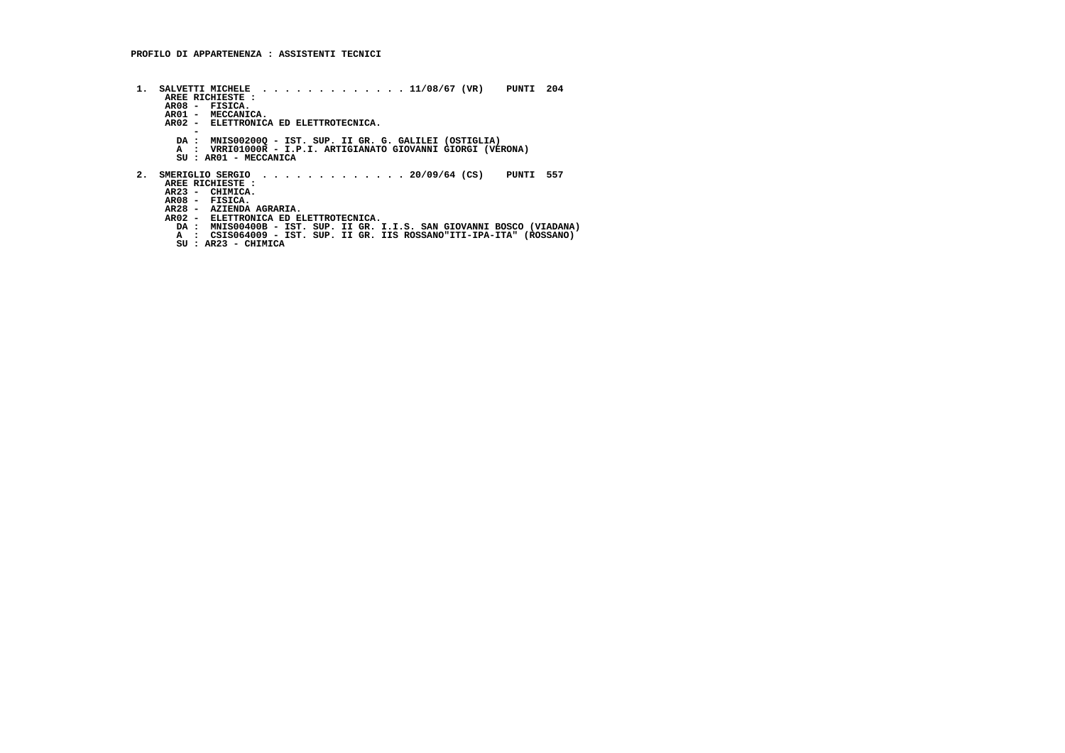- **1. SALVETTI MICHELE . . . . . . . . . . . . . 11/08/67 (VR) PUNTI 204 AREE RICHIESTE : AR01 - MECCANICA. AR08 - FISICA. AR02 - ELETTRONICA ED ELETTROTECNICA. - DA : MNIS00200Q - IST. SUP. II GR. G. GALILEI (OSTIGLIA) A : VRRI01000R - I.P.I. ARTIGIANATO GIOVANNI GIORGI (VERONA) SU : AR01 - MECCANICA 2. SMERIGLIO SERGIO . . . . . . . . . . . . . 20/09/64 (CS) PUNTI 557 AREE RICHIESTE : AR23 - CHIMICA.**AR08 - FISICA.<br>AR28 - AZIENDA AGRARIA.<br>AR02 - ELETTRONICA ED ELETTROTECNICA.<br>DA : MNIS00400B - IST. SUP. II GR. I.I.S. SAN GIOVANNI BOSCO (VIADANA)<br>A : CSIS064009 - IST. SUP. II GR. IIS ROSSANO"ITI-IPA-ITA" (ROSSANO)
	-
	- **SU : AR23 CHIMICA**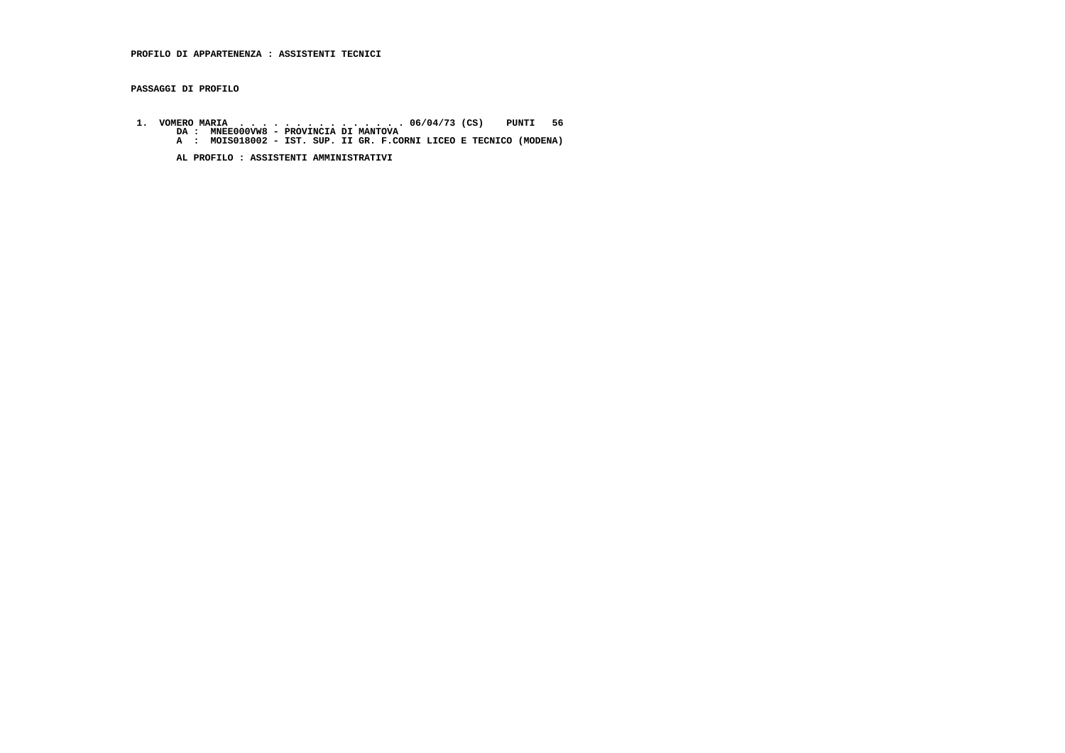**PASSAGGI DI PROFILO**

 **1. VOMERO MARIA . . . . . . . . . . . . . . . 06/04/73 (CS) PUNTI 56 DA : MNEE000VW8 - PROVINCIA DI MANTOVA A : MOIS018002 - IST. SUP. II GR. F.CORNI LICEO E TECNICO (MODENA)**

 **AL PROFILO : ASSISTENTI AMMINISTRATIVI**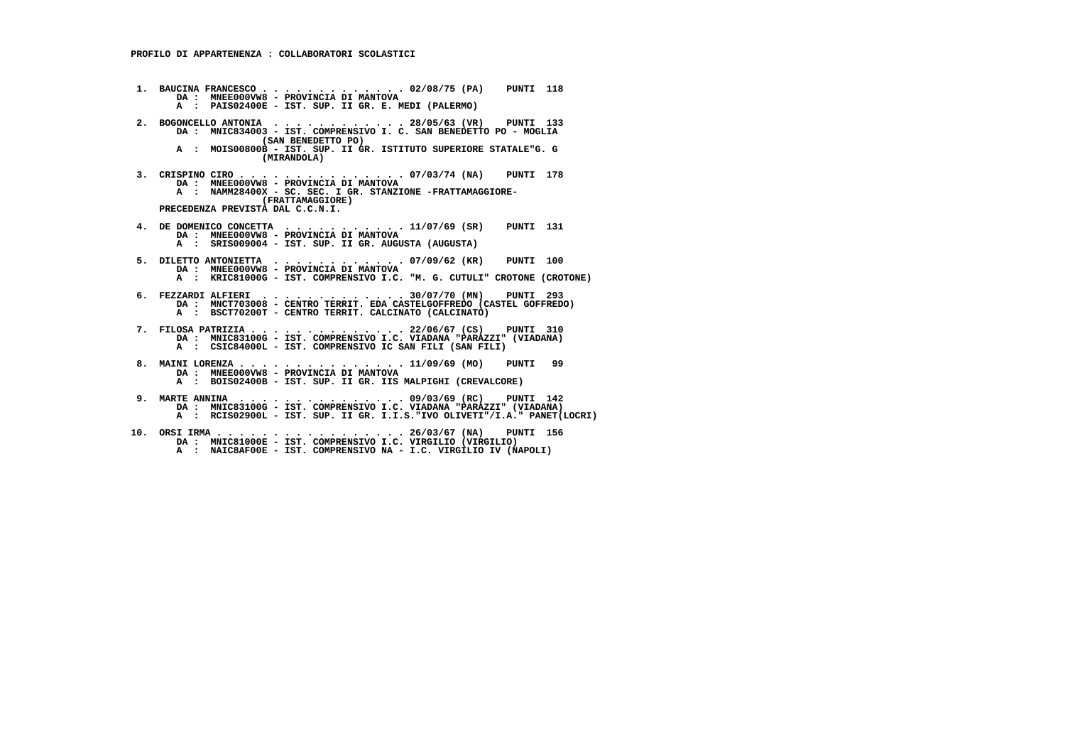- **1. BAUCINA FRANCESCO . . . . . . . . . . . . . 02/08/75 (PA) PUNTI 118 DA : MNEE000VW8 - PROVINCIA DI MANTOVA A : PAIS02400E - IST. SUP. II GR. E. MEDI (PALERMO) 2. BOGONCELLO ANTONIA . . . . . . . . . . . . 28/05/63 (VR) PUNTI 133 DA : MNIC834003 - IST. COMPRENSIVO I. C. SAN BENEDETTO PO - MOGLIA (SAN BENEDETTO PO) A : MOIS00800B - IST. SUP. II GR. ISTITUTO SUPERIORE STATALE"G. G (MIRANDOLA) 3. CRISPINO CIRO . . . . . . . . . . . . . . . 07/03/74 (NA) PUNTI 178 DA : MNEE000VW8 - PROVINCIA DI MANTOVA A : NAMM28400X - SC. SEC. I GR. STANZIONE -FRATTAMAGGIORE- (FRATTAMAGGIORE) PRECEDENZA PREVISTA DAL C.C.N.I. 4. DE DOMENICO CONCETTA . . . . . . . . . . . 11/07/69 (SR) PUNTI 131 DA : MNEE000VW8 - PROVINCIA DI MANTOVA A : SRIS009004 - IST. SUP. II GR. AUGUSTA (AUGUSTA) 5. DILETTO ANTONIETTA . . . . . . . . . . . . 07/09/62 (KR) PUNTI 100 DA : MNEE000VW8 - PROVINCIA DI MANTOVA A : KRIC81000G - IST. COMPRENSIVO I.C. "M. G. CUTULI" CROTONE (CROTONE) 6. FEZZARDI ALFIERI . . . . . . . . . . . . . 30/07/70 (MN) PUNTI 293 DA : MNCT703008 - CENTRO TERRIT. EDA CASTELGOFFREDO (CASTEL GOFFREDO) A : BSCT70200T - CENTRO TERRIT. CALCINATO (CALCINATO) 7. FILOSA PATRIZIA . . . . . . . . . . . . . . 22/06/67 (CS) PUNTI 310 DA : MNIC83100G - IST. COMPRENSIVO I.C. VIADANA "PARAZZI" (VIADANA) A : CSIC84000L - IST. COMPRENSIVO IC SAN FILI (SAN FILI) 8. MAINI LORENZA . . . . . . . . . . . . . . . 11/09/69 (MO) PUNTI 99 DA : MNEE000VW8 - PROVINCIA DI MANTOVA A : BOIS02400B - IST. SUP. II GR. IIS MALPIGHI (CREVALCORE) 9. MARTE ANNINA . . . . . . . . . . . . . . . 09/03/69 (RC) PUNTI 142 DA : MNIC83100G - IST. COMPRENSIVO I.C. VIADANA "PARAZZI" (VIADANA) A : RCIS02900L - IST. SUP. II GR. I.I.S."IVO OLIVETI"/I.A." PANET(LOCRI) 10. ORSI IRMA . . . . . . . . . . . . . . . . . 26/03/67 (NA) PUNTI 156 DA : MNIC81000E - IST. COMPRENSIVO I.C. VIRGILIO (VIRGILIO)**
- **A : NAIC8AF00E IST. COMPRENSIVO NA I.C. VIRGILIO IV (NAPOLI)**